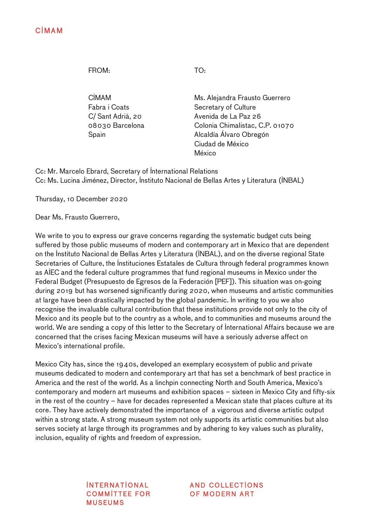FROM: TO:

CIMAM Fabra i Coats C/ Sant Adrià, 20 08030 Barcelona Spain

Ms. Alejandra Frausto Guerrero Secretary of Culture Avenida de La Paz 26 Colonia Chimalistac, C.P. 01070 Alcaldía Álvaro Obregón Ciudad de México México

Cc: Mr. Marcelo Ebrard, Secretary of International Relations Cc: Ms. Lucina Jiménez, Director, Instituto Nacional de Bellas Artes y Literatura (INBAL)

Thursday, 10 December 2020

Dear Ms. Frausto Guerrero,

We write to you to express our grave concerns regarding the systematic budget cuts being suffered by those public museums of modern and contemporary art in Mexico that are dependent on the Instituto Nacional de Bellas Artes y Literatura (INBAL), and on the diverse regional State Secretaries of Culture, the Instituciones Estatales de Cultura through federal programmes known as AIEC and the federal culture programmes that fund regional museums in Mexico under the Federal Budget (Presupuesto de Egresos de la Federación [PEF]). This situation was on-going during 2019 but has worsened significantly during 2020, when museums and artistic communities at large have been drastically impacted by the global pandemic. In writing to you we also recognise the invaluable cultural contribution that these institutions provide not only to the city of Mexico and its people but to the country as a whole, and to communities and museums around the world. We are sending a copy of this letter to the Secretary of International Affairs because we are concerned that the crises facing Mexican museums will have a seriously adverse affect on Mexico's international profile.

Mexico City has, since the 1940s, developed an exemplary ecosystem of public and private museums dedicated to modern and contemporary art that has set a benchmark of best practice in America and the rest of the world. As a linchpin connecting North and South America, Mexico's contemporary and modern art museums and exhibition spaces – sixteen in Mexico City and fifty-six in the rest of the country – have for decades represented a Mexican state that places culture at its core. They have actively demonstrated the importance of a vigorous and diverse artistic output within a strong state. A strong museum system not only supports its artistic communities but also serves society at large through its programmes and by adhering to key values such as plurality, inclusion, equality of rights and freedom of expression.

> **INTERNATIONAL** COMMITTEE FOR **MUSFUMS**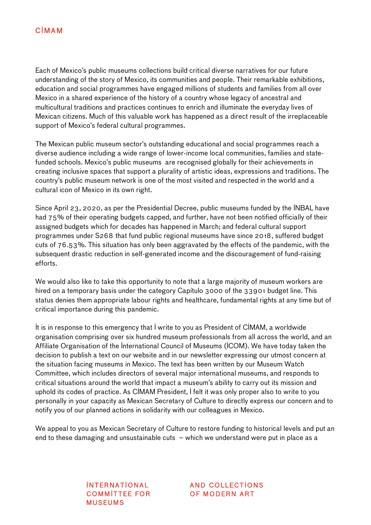Each of Mexico's public museums collections build critical diverse narratives for our future understanding of the story of Mexico, its communities and people. Their remarkable exhibitions, education and social programmes have engaged millions of students and families from all over Mexico in a shared experience of the history of a country whose legacy of ancestral and multicultural traditions and practices continues to enrich and illuminate the everyday lives of Mexican citizens. Much of this valuable work has happened as a direct result of the irreplaceable support of Mexico's federal cultural programmes.

The Mexican public museum sector's outstanding educational and social programmes reach a diverse audience including a wide range of lower-income local communities, families and statefunded schools. Mexico's public museums are recognised globally for their achievements in creating inclusive spaces that support a plurality of artistic ideas, expressions and traditions. The country's public museum network is one of the most visited and respected in the world and a cultural icon of Mexico in its own right.

Since April 23, 2020, as per the Presidential Decree, public museums funded by the INBAL have had 75% of their operating budgets capped, and further, have not been notified officially of their assigned budgets which for decades has happened in March; and federal cultural support programmes under S268 that fund public regional museums have since 2018, suffered budget cuts of 76.53%. This situation has only been aggravated by the effects of the pandemic, with the subsequent drastic reduction in self-generated income and the discouragement of fund-raising efforts.

We would also like to take this opportunity to note that a large majority of museum workers are hired on a temporary basis under the category Capítulo 3000 of the 33901 budget line. This status denies them appropriate labour rights and healthcare, fundamental rights at any time but of critical importance during this pandemic.

It is in response to this emergency that I write to you as President of CIMAM, a worldwide organisation comprising over six hundred museum professionals from all across the world, and an Affiliate Organisation of the International Council of Museums (ICOM). We have today taken the decision to publish a text on our website and in our newsletter expressing our utmost concern at the situation facing museums in Mexico. The text has been written by our Museum Watch Committee, which includes directors of several major international museums, and responds to critical situations around the world that impact a museum's ability to carry out its mission and uphold its codes of practice. As CIMAM President, I felt it was only proper also to write to you personally in your capacity as Mexican Secretary of Culture to directly express our concern and to notify you of our planned actions in solidarity with our colleagues in Mexico.

We appeal to you as Mexican Secretary of Culture to restore funding to historical levels and put an end to these damaging and unsustainable cuts – which we understand were put in place as a

> **INTERNATIONAL** COMMITTEE FOR **MUSFUMS**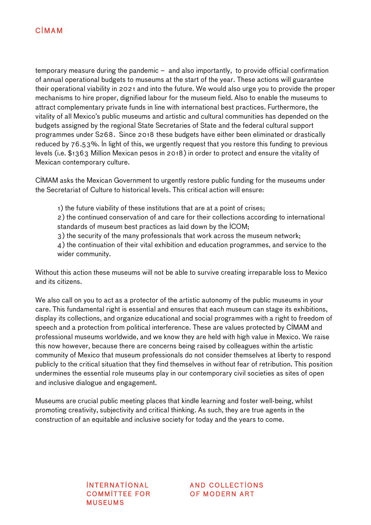## **C**IMAM

temporary measure during the pandemic – and also importantly, to provide official confirmation of annual operational budgets to museums at the start of the year. These actions will guarantee their operational viability in 2021 and into the future. We would also urge you to provide the proper mechanisms to hire proper, dignified labour for the museum field. Also to enable the museums to attract complementary private funds in line with international best practices. Furthermore, the vitality of all Mexico's public museums and artistic and cultural communities has depended on the budgets assigned by the regional State Secretaries of State and the federal cultural support programmes under S268. Since 2018 these budgets have either been eliminated or drastically reduced by 76.53%. In light of this, we urgently request that you restore this funding to previous levels (i.e. \$1363 Million Mexican pesos in 2018) in order to protect and ensure the vitality of Mexican contemporary culture.

CIMAM asks the Mexican Government to urgently restore public funding for the museums under the Secretariat of Culture to historical levels. This critical action will ensure:

1) the future viability of these institutions that are at a point of crises;

2) the continued conservation of and care for their collections according to international standards of museum best practices as laid down by the ICOM;

3) the security of the many professionals that work across the museum network;

4) the continuation of their vital exhibition and education programmes, and service to the wider community.

Without this action these museums will not be able to survive creating irreparable loss to Mexico and its citizens.

We also call on you to act as a protector of the artistic autonomy of the public museums in your care. This fundamental right is essential and ensures that each museum can stage its exhibitions, display its collections, and organize educational and social programmes with a right to freedom of speech and a protection from political interference. These are values protected by CIMAM and professional museums worldwide, and we know they are held with high value in Mexico. We raise this now however, because there are concerns being raised by colleagues within the artistic community of Mexico that museum professionals do not consider themselves at liberty to respond publicly to the critical situation that they find themselves in without fear of retribution. This position undermines the essential role museums play in our contemporary civil societies as sites of open and inclusive dialogue and engagement.

Museums are crucial public meeting places that kindle learning and foster well-being, whilst promoting creativity, subjectivity and critical thinking. As such, they are true agents in the construction of an equitable and inclusive society for today and the years to come.

> **INTERNATIONAL** COMMITTEE FOR **MUSFUMS**